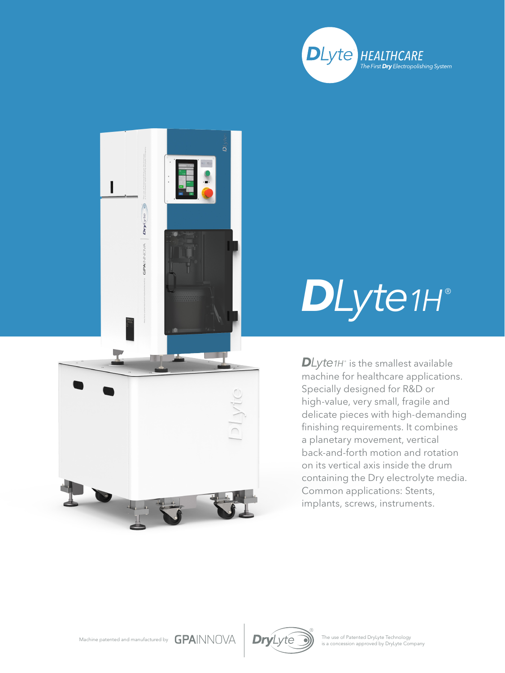



## *DLyte1H* ®

 $D$ *Lyte1H* $^{\circ}$  is the smallest available machine for healthcare applications. Specially designed for R&D or high-value, very small, fragile and delicate pieces with high-demanding finishing requirements. It combines a planetary movement, vertical back-and-forth motion and rotation on its vertical axis inside the drum containing the Dry electrolyte media. Common applications: Stents, implants, screws, instruments.